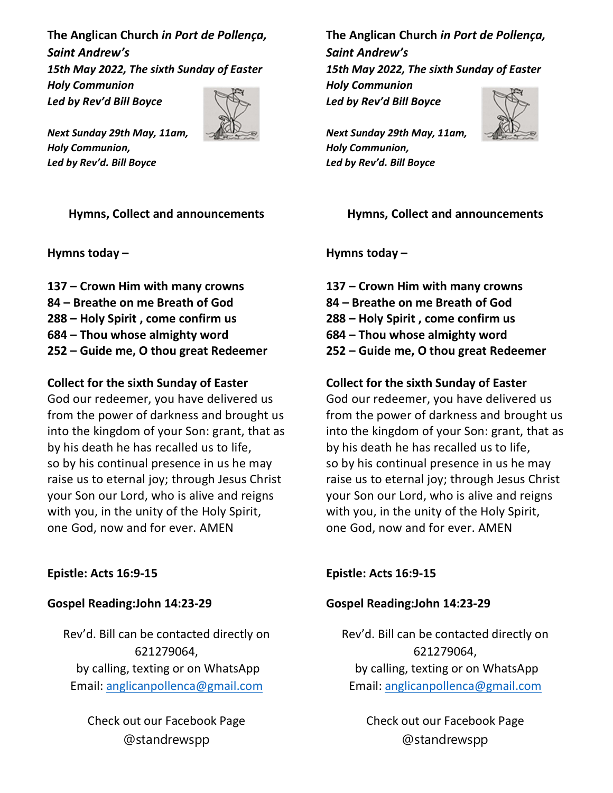The Anglican Church in Port de Pollença, Saint Andrew's 15th May 2022, The sixth Sunday of Easter Holy Communion Led by Rev'd Bill Boyce



Next Sunday 29th May, 11am, Holy Communion, Led by Rev'd. Bill Boyce

## Hymns, Collect and announcements

Hymns today –

137 – Crown Him with many crowns 84 – Breathe on me Breath of God 288 – Holy Spirit , come confirm us 684 – Thou whose almighty word 252 – Guide me, O thou great Redeemer

## Collect for the sixth Sunday of Easter

God our redeemer, you have delivered us from the power of darkness and brought us into the kingdom of your Son: grant, that as by his death he has recalled us to life, so by his continual presence in us he may raise us to eternal joy; through Jesus Christ your Son our Lord, who is alive and reigns with you, in the unity of the Holy Spirit, one God, now and for ever. AMEN

## Epistle: Acts 16:9-15

#### Gospel Reading:John 14:23-29

Rev'd. Bill can be contacted directly on 621279064, by calling, texting or on WhatsApp Email: anglicanpollenca@gmail.com

> Check out our Facebook Page @standrewspp

The Anglican Church in Port de Pollença, Saint Andrew's 15th May 2022, The sixth Sunday of Easter Holy Communion Led by Rev'd Bill Boyce



Next Sunday 29th May, 11am, Holy Communion, Led by Rev'd. Bill Boyce

#### Hymns, Collect and announcements

Hymns today –

137 – Crown Him with many crowns 84 – Breathe on me Breath of God 288 – Holy Spirit , come confirm us 684 – Thou whose almighty word 252 – Guide me, O thou great Redeemer

## Collect for the sixth Sunday of Easter

God our redeemer, you have delivered us from the power of darkness and brought us into the kingdom of your Son: grant, that as by his death he has recalled us to life, so by his continual presence in us he may raise us to eternal joy; through Jesus Christ your Son our Lord, who is alive and reigns with you, in the unity of the Holy Spirit, one God, now and for ever. AMEN

Epistle: Acts 16:9-15

#### Gospel Reading:John 14:23-29

Rev'd. Bill can be contacted directly on 621279064, by calling, texting or on WhatsApp Email: anglicanpollenca@gmail.com

> Check out our Facebook Page @standrewspp